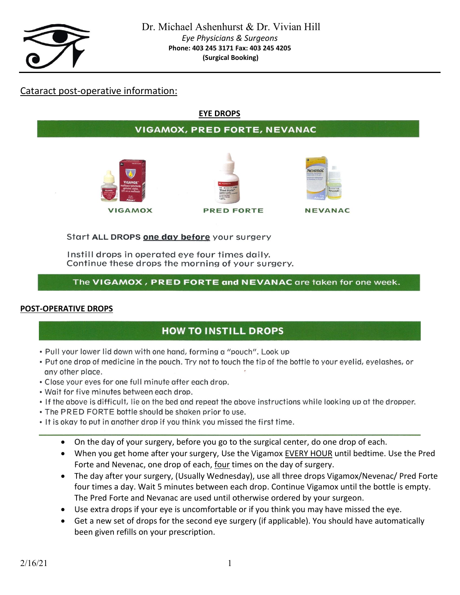

# Cataract post-operative information:

### **EYE DROPS**

## **VIGAMOX, PRED FORTE, NEVANAC**







**NEVANAC** 

Start ALL DROPS one day before your surgery

Instill drops in operated eye four times daily. Continue these drops the morning of your surgery.

### The VIGAMOX, PRED FORTE and NEVANAC are taken for one week.

#### **POST-OPERATIVE DROPS**

# **HOW TO INSTILL DROPS**

- . Pull your lower lid down with one hand, forming a "pouch". Look up
- Put one drop of medicine in the pouch. Try not to touch the tip of the bottle to your eyelid, eyelashes, or any other place.
- . Close your eyes for one full minute after each drop.
- . Wait for five minutes between each drop.
- If the above is difficult, lie on the bed and repeat the above instructions while looking up at the dropper.
- . The PRED FORTE bottle should be shaken prior to use.
- . It is okay to put in another drop if you think you missed the first time.
	- On the day of your surgery, before you go to the surgical center, do one drop of each.
	- When you get home after your surgery, Use the Vigamox EVERY HOUR until bedtime. Use the Pred Forte and Nevenac, one drop of each, four times on the day of surgery.
	- The day after your surgery, (Usually Wednesday), use all three drops Vigamox/Nevenac/ Pred Forte four times a day. Wait 5 minutes between each drop. Continue Vigamox until the bottle is empty. The Pred Forte and Nevanac are used until otherwise ordered by your surgeon.
	- Use extra drops if your eye is uncomfortable or if you think you may have missed the eye.
	- Get a new set of drops for the second eye surgery (if applicable). You should have automatically been given refills on your prescription.